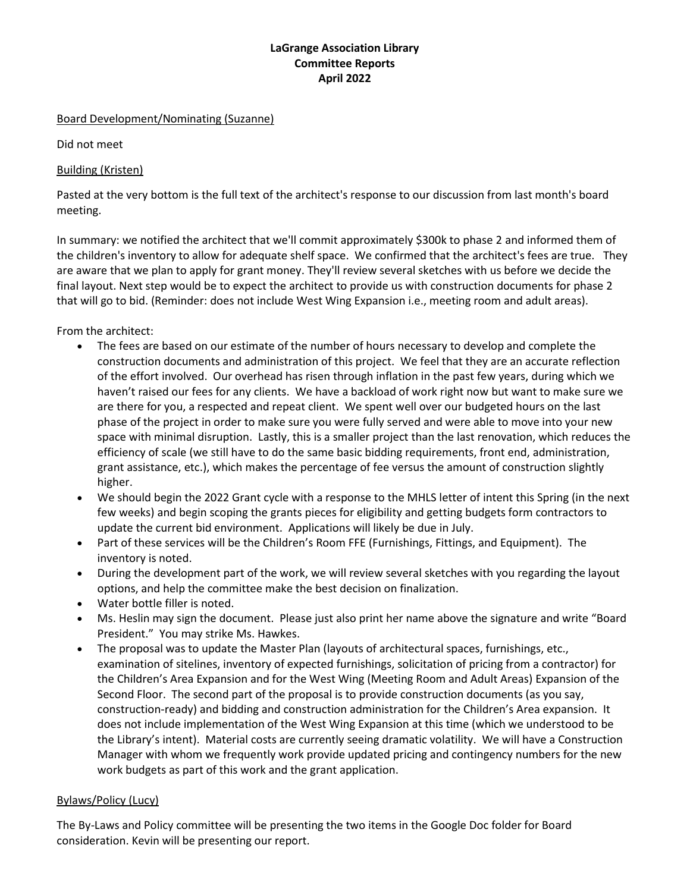# **LaGrange Association Library Committee Reports April 2022**

#### Board Development/Nominating (Suzanne)

Did not meet

### Building (Kristen)

Pasted at the very bottom is the full text of the architect's response to our discussion from last month's board meeting.

In summary: we notified the architect that we'll commit approximately \$300k to phase 2 and informed them of the children's inventory to allow for adequate shelf space. We confirmed that the architect's fees are true. They are aware that we plan to apply for grant money. They'll review several sketches with us before we decide the final layout. Next step would be to expect the architect to provide us with construction documents for phase 2 that will go to bid. (Reminder: does not include West Wing Expansion i.e., meeting room and adult areas).

From the architect:

- The fees are based on our estimate of the number of hours necessary to develop and complete the construction documents and administration of this project. We feel that they are an accurate reflection of the effort involved. Our overhead has risen through inflation in the past few years, during which we haven't raised our fees for any clients. We have a backload of work right now but want to make sure we are there for you, a respected and repeat client. We spent well over our budgeted hours on the last phase of the project in order to make sure you were fully served and were able to move into your new space with minimal disruption. Lastly, this is a smaller project than the last renovation, which reduces the efficiency of scale (we still have to do the same basic bidding requirements, front end, administration, grant assistance, etc.), which makes the percentage of fee versus the amount of construction slightly higher.
- We should begin the 2022 Grant cycle with a response to the MHLS letter of intent this Spring (in the next few weeks) and begin scoping the grants pieces for eligibility and getting budgets form contractors to update the current bid environment. Applications will likely be due in July.
- Part of these services will be the Children's Room FFE (Furnishings, Fittings, and Equipment). The inventory is noted.
- During the development part of the work, we will review several sketches with you regarding the layout options, and help the committee make the best decision on finalization.
- Water bottle filler is noted.
- Ms. Heslin may sign the document. Please just also print her name above the signature and write "Board President." You may strike Ms. Hawkes.
- The proposal was to update the Master Plan (layouts of architectural spaces, furnishings, etc., examination of sitelines, inventory of expected furnishings, solicitation of pricing from a contractor) for the Children's Area Expansion and for the West Wing (Meeting Room and Adult Areas) Expansion of the Second Floor. The second part of the proposal is to provide construction documents (as you say, construction-ready) and bidding and construction administration for the Children's Area expansion. It does not include implementation of the West Wing Expansion at this time (which we understood to be the Library's intent). Material costs are currently seeing dramatic volatility. We will have a Construction Manager with whom we frequently work provide updated pricing and contingency numbers for the new work budgets as part of this work and the grant application.

### Bylaws/Policy (Lucy)

The By-Laws and Policy committee will be presenting the two items in the Google Doc folder for Board consideration. Kevin will be presenting our report.